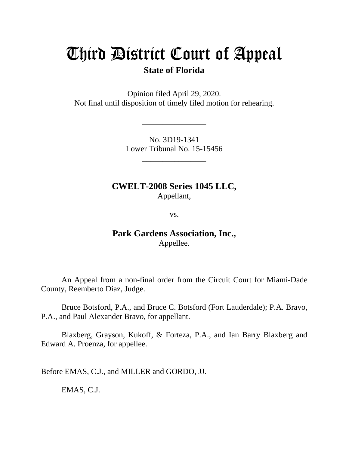# Third District Court of Appeal

## **State of Florida**

Opinion filed April 29, 2020. Not final until disposition of timely filed motion for rehearing.

> No. 3D19-1341 Lower Tribunal No. 15-15456

> > \_\_\_\_\_\_\_\_\_\_\_\_\_\_\_\_

\_\_\_\_\_\_\_\_\_\_\_\_\_\_\_\_

**CWELT-2008 Series 1045 LLC,** Appellant,

vs.

## **Park Gardens Association, Inc.,** Appellee.

An Appeal from a non-final order from the Circuit Court for Miami-Dade County, Reemberto Diaz, Judge.

Bruce Botsford, P.A., and Bruce C. Botsford (Fort Lauderdale); P.A. Bravo, P.A., and Paul Alexander Bravo, for appellant.

Blaxberg, Grayson, Kukoff, & Forteza, P.A., and Ian Barry Blaxberg and Edward A. Proenza, for appellee.

Before EMAS, C.J., and MILLER and GORDO, JJ.

EMAS, C.J.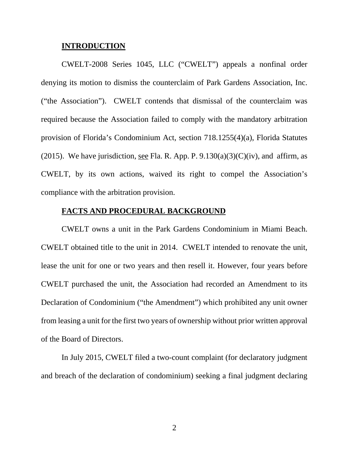#### **INTRODUCTION**

CWELT-2008 Series 1045, LLC ("CWELT") appeals a nonfinal order denying its motion to dismiss the counterclaim of Park Gardens Association, Inc. ("the Association"). CWELT contends that dismissal of the counterclaim was required because the Association failed to comply with the mandatory arbitration provision of Florida's Condominium Act, section 718.1255(4)(a), Florida Statutes (2015). We have jurisdiction, see Fla. R. App. P.  $9.130(a)(3)(C)(iv)$ , and affirm, as CWELT, by its own actions, waived its right to compel the Association's compliance with the arbitration provision.

#### **FACTS AND PROCEDURAL BACKGROUND**

CWELT owns a unit in the Park Gardens Condominium in Miami Beach. CWELT obtained title to the unit in 2014. CWELT intended to renovate the unit, lease the unit for one or two years and then resell it. However, four years before CWELT purchased the unit, the Association had recorded an Amendment to its Declaration of Condominium ("the Amendment") which prohibited any unit owner from leasing a unit for the first two years of ownership without prior written approval of the Board of Directors.

In July 2015, CWELT filed a two-count complaint (for declaratory judgment and breach of the declaration of condominium) seeking a final judgment declaring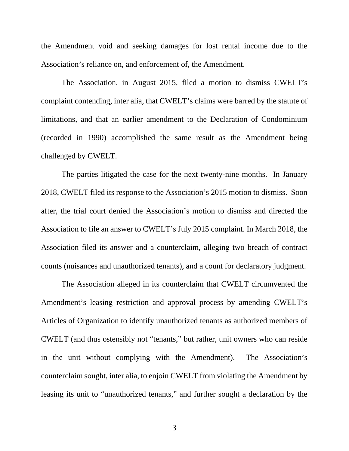the Amendment void and seeking damages for lost rental income due to the Association's reliance on, and enforcement of, the Amendment.

The Association, in August 2015, filed a motion to dismiss CWELT's complaint contending, inter alia, that CWELT's claims were barred by the statute of limitations, and that an earlier amendment to the Declaration of Condominium (recorded in 1990) accomplished the same result as the Amendment being challenged by CWELT.

The parties litigated the case for the next twenty-nine months. In January 2018, CWELT filed its response to the Association's 2015 motion to dismiss. Soon after, the trial court denied the Association's motion to dismiss and directed the Association to file an answer to CWELT's July 2015 complaint. In March 2018, the Association filed its answer and a counterclaim, alleging two breach of contract counts (nuisances and unauthorized tenants), and a count for declaratory judgment.

The Association alleged in its counterclaim that CWELT circumvented the Amendment's leasing restriction and approval process by amending CWELT's Articles of Organization to identify unauthorized tenants as authorized members of CWELT (and thus ostensibly not "tenants," but rather, unit owners who can reside in the unit without complying with the Amendment). The Association's counterclaim sought, inter alia, to enjoin CWELT from violating the Amendment by leasing its unit to "unauthorized tenants," and further sought a declaration by the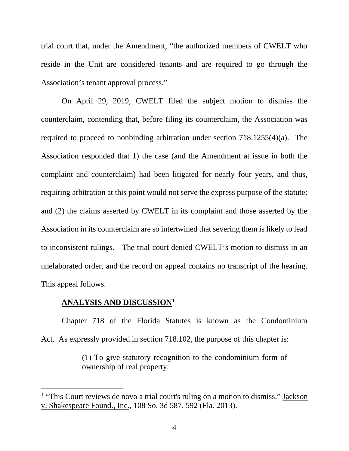trial court that, under the Amendment, "the authorized members of CWELT who reside in the Unit are considered tenants and are required to go through the Association's tenant approval process."

On April 29, 2019, CWELT filed the subject motion to dismiss the counterclaim, contending that, before filing its counterclaim, the Association was required to proceed to nonbinding arbitration under section 718.1255(4)(a). The Association responded that 1) the case (and the Amendment at issue in both the complaint and counterclaim) had been litigated for nearly four years, and thus, requiring arbitration at this point would not serve the express purpose of the statute; and (2) the claims asserted by CWELT in its complaint and those asserted by the Association in its counterclaim are so intertwined that severing them is likely to lead to inconsistent rulings. The trial court denied CWELT's motion to dismiss in an unelaborated order, and the record on appeal contains no transcript of the hearing. This appeal follows.

### **ANALYSIS AND DISCUSSION[1](#page-3-0)**

Chapter 718 of the Florida Statutes is known as the Condominium Act. As expressly provided in section 718.102, the purpose of this chapter is:

> (1) To give statutory recognition to the condominium form of ownership of real property.

<span id="page-3-0"></span><sup>&</sup>lt;sup>1</sup> "This Court reviews de novo a trial court's ruling on a motion to dismiss." <u>Jackson</u> v. Shakespeare Found., Inc., 108 So. 3d 587, 592 (Fla. 2013).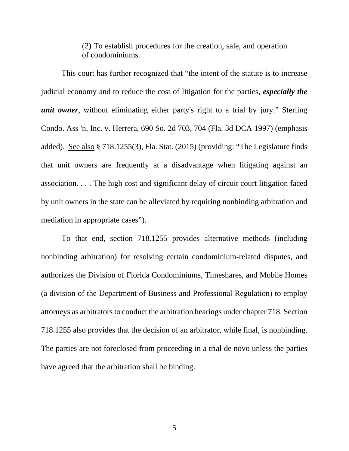(2) To establish procedures for the creation, sale, and operation of condominiums.

This court has further recognized that "the intent of the statute is to increase judicial economy and to reduce the cost of litigation for the parties, *especially the unit owner*, without eliminating either party's right to a trial by jury." Sterling Condo. Ass 'n, Inc. v. Herrera, 690 So. 2d 703, 704 (Fla. 3d DCA 1997) (emphasis added). See also § 718.1255(3), Fla. Stat. (2015) (providing: "The Legislature finds that unit owners are frequently at a disadvantage when litigating against an association. . . . The high cost and significant delay of circuit court litigation faced by unit owners in the state can be alleviated by requiring nonbinding arbitration and mediation in appropriate cases").

To that end, section 718.1255 provides alternative methods (including nonbinding arbitration) for resolving certain condominium-related disputes, and authorizes the Division of Florida Condominiums, Timeshares, and Mobile Homes (a division of the Department of Business and Professional Regulation) to employ attorneys as arbitrators to conduct the arbitration hearings under chapter 718. Section 718.1255 also provides that the decision of an arbitrator, while final, is nonbinding. The parties are not foreclosed from proceeding in a trial de novo unless the parties have agreed that the arbitration shall be binding.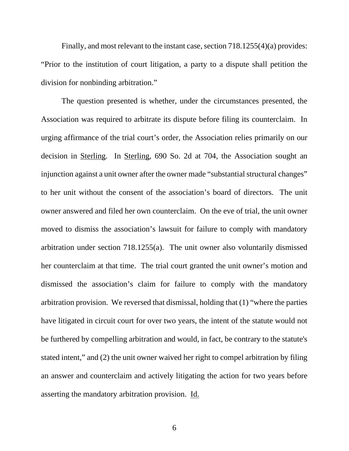Finally, and most relevant to the instant case, section  $718.1255(4)(a)$  provides: "Prior to the institution of court litigation, a party to a dispute shall petition the division for nonbinding arbitration."

The question presented is whether, under the circumstances presented, the Association was required to arbitrate its dispute before filing its counterclaim. In urging affirmance of the trial court's order, the Association relies primarily on our decision in Sterling. In Sterling, 690 So. 2d at 704, the Association sought an injunction against a unit owner after the owner made "substantial structural changes" to her unit without the consent of the association's board of directors. The unit owner answered and filed her own counterclaim. On the eve of trial, the unit owner moved to dismiss the association's lawsuit for failure to comply with mandatory arbitration under section 718.1255(a). The unit owner also voluntarily dismissed her counterclaim at that time. The trial court granted the unit owner's motion and dismissed the association's claim for failure to comply with the mandatory arbitration provision. We reversed that dismissal, holding that (1) "where the parties have litigated in circuit court for over two years, the intent of the statute would not be furthered by compelling arbitration and would, in fact, be contrary to the statute's stated intent," and (2) the unit owner waived her right to compel arbitration by filing an answer and counterclaim and actively litigating the action for two years before asserting the mandatory arbitration provision. Id.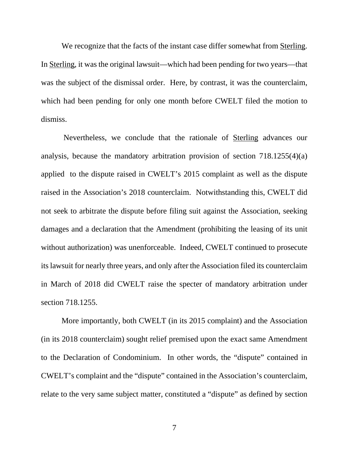We recognize that the facts of the instant case differ somewhat from Sterling. In Sterling, it was the original lawsuit—which had been pending for two years—that was the subject of the dismissal order. Here, by contrast, it was the counterclaim, which had been pending for only one month before CWELT filed the motion to dismiss.

Nevertheless, we conclude that the rationale of Sterling advances our analysis, because the mandatory arbitration provision of section 718.1255(4)(a) applied to the dispute raised in CWELT's 2015 complaint as well as the dispute raised in the Association's 2018 counterclaim. Notwithstanding this, CWELT did not seek to arbitrate the dispute before filing suit against the Association, seeking damages and a declaration that the Amendment (prohibiting the leasing of its unit without authorization) was unenforceable. Indeed, CWELT continued to prosecute its lawsuit for nearly three years, and only after the Association filed its counterclaim in March of 2018 did CWELT raise the specter of mandatory arbitration under section 718.1255.

More importantly, both CWELT (in its 2015 complaint) and the Association (in its 2018 counterclaim) sought relief premised upon the exact same Amendment to the Declaration of Condominium. In other words, the "dispute" contained in CWELT's complaint and the "dispute" contained in the Association's counterclaim, relate to the very same subject matter, constituted a "dispute" as defined by section

7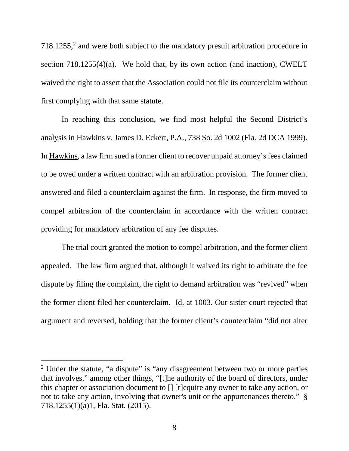$718.1255$  $718.1255$  $718.1255$ , and were both subject to the mandatory presuit arbitration procedure in section  $718.1255(4)(a)$ . We hold that, by its own action (and inaction), CWELT waived the right to assert that the Association could not file its counterclaim without first complying with that same statute.

In reaching this conclusion, we find most helpful the Second District's analysis in Hawkins v. James D. Eckert, P.A., 738 So. 2d 1002 (Fla. 2d DCA 1999). In Hawkins, a law firm sued a former client to recover unpaid attorney's fees claimed to be owed under a written contract with an arbitration provision. The former client answered and filed a counterclaim against the firm. In response, the firm moved to compel arbitration of the counterclaim in accordance with the written contract providing for mandatory arbitration of any fee disputes.

The trial court granted the motion to compel arbitration, and the former client appealed. The law firm argued that, although it waived its right to arbitrate the fee dispute by filing the complaint, the right to demand arbitration was "revived" when the former client filed her counterclaim. Id. at 1003. Our sister court rejected that argument and reversed, holding that the former client's counterclaim "did not alter

<span id="page-7-0"></span><sup>&</sup>lt;sup>2</sup> Under the statute, "a dispute" is "any disagreement between two or more parties that involves," among other things, "[t]he authority of the board of directors, under this chapter or association document to [] [r]equire any owner to take any action, or not to take any action, involving that owner's unit or the appurtenances thereto." § 718.1255(1)(a)1, Fla. Stat. (2015).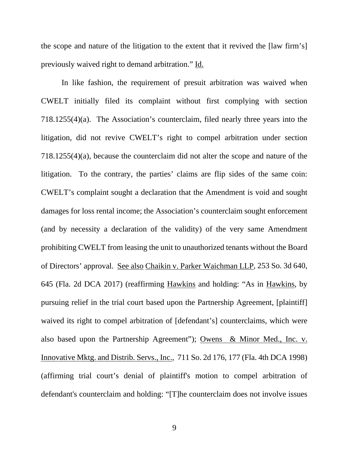the scope and nature of the litigation to the extent that it revived the [law firm's] previously waived right to demand arbitration." Id.

In like fashion, the requirement of presuit arbitration was waived when CWELT initially filed its complaint without first complying with section 718.1255(4)(a). The Association's counterclaim, filed nearly three years into the litigation, did not revive CWELT's right to compel arbitration under section 718.1255(4)(a), because the counterclaim did not alter the scope and nature of the litigation. To the contrary, the parties' claims are flip sides of the same coin: CWELT's complaint sought a declaration that the Amendment is void and sought damages for loss rental income; the Association's counterclaim sought enforcement (and by necessity a declaration of the validity) of the very same Amendment prohibiting CWELT from leasing the unit to unauthorized tenants without the Board of Directors' approval. See also Chaikin v. Parker Waichman LLP, 253 So. 3d 640, 645 (Fla. 2d DCA 2017) (reaffirming Hawkins and holding: "As in Hawkins, by pursuing relief in the trial court based upon the Partnership Agreement, [plaintiff] waived its right to compel arbitration of [defendant's] counterclaims, which were also based upon the Partnership Agreement"); Owens & Minor Med., Inc. v. Innovative Mktg. and Distrib. Servs., Inc., 711 So. 2d 176, 177 (Fla. 4th DCA 1998) (affirming trial court's denial of plaintiff's motion to compel arbitration of defendant's counterclaim and holding: "[T]he counterclaim does not involve issues